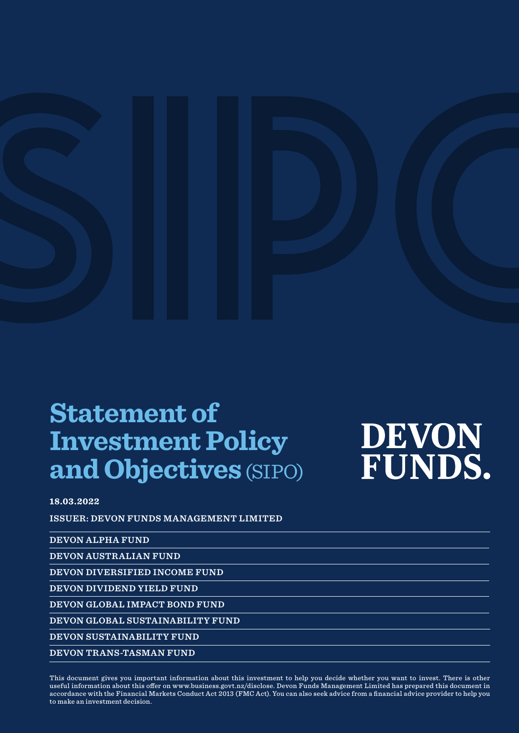### **Statement of Investment Policy and Objectives** (SIPO)

# **DEVON FUNDS.**

#### **18.03.2022**

**ISSUER: DEVON FUNDS MANAGEMENT LIMITED**

**DEVON ALPHA FUND**

**DEVON AUSTRALIAN FUND**

**DEVON DIVERSIFIED INCOME FUND**

**DEVON DIVIDEND YIELD FUND**

**DEVON GLOBAL IMPACT BOND FUND**

**DEVON GLOBAL SUSTAINABILITY FUND**

**DEVON SUSTAINABILITY FUND** 

**DEVON TRANS-TASMAN FUND**

This document gives you important information about this investment to help you decide whether you want to invest. There is other useful information about this offer on www.business.govt.nz/disclose. Devon Funds Management Limited has prepared this document in accordance with the Financial Markets Conduct Act 2013 (FMC Act). You can also seek advice from a financial advice provider to help you to make an investment decision.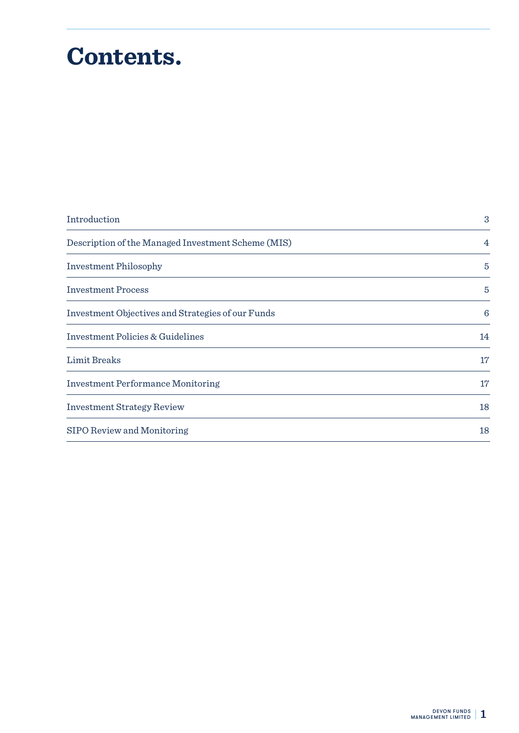# **Contents.**

| Introduction                                       | 3               |
|----------------------------------------------------|-----------------|
| Description of the Managed Investment Scheme (MIS) | 4               |
| <b>Investment Philosophy</b>                       | $\overline{5}$  |
| <b>Investment Process</b>                          | $\overline{5}$  |
| Investment Objectives and Strategies of our Funds  | $6\phantom{1}6$ |
| <b>Investment Policies &amp; Guidelines</b>        | 14              |
| Limit Breaks                                       | 17              |
| <b>Investment Performance Monitoring</b>           | 17              |
| <b>Investment Strategy Review</b>                  | 18              |
| SIPO Review and Monitoring                         | 18              |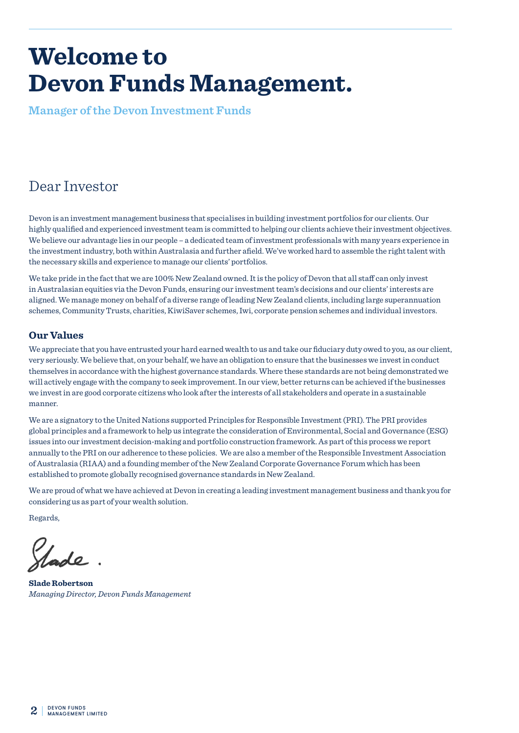### **Welcome to Devon Funds Management.**

**Manager of the Devon Investment Funds**

### Dear Investor

Devon is an investment management business that specialises in building investment portfolios for our clients. Our highly qualified and experienced investment team is committed to helping our clients achieve their investment objectives. We believe our advantage lies in our people – a dedicated team of investment professionals with many years experience in the investment industry, both within Australasia and further afield. We've worked hard to assemble the right talent with the necessary skills and experience to manage our clients' portfolios.

We take pride in the fact that we are 100% New Zealand owned. It is the policy of Devon that all staff can only invest in Australasian equities via the Devon Funds, ensuring our investment team's decisions and our clients' interests are aligned. We manage money on behalf of a diverse range of leading New Zealand clients, including large superannuation schemes, Community Trusts, charities, KiwiSaver schemes, Iwi, corporate pension schemes and individual investors.

#### **Our Values**

We appreciate that you have entrusted your hard earned wealth to us and take our fiduciary duty owed to you, as our client, very seriously. We believe that, on your behalf, we have an obligation to ensure that the businesses we invest in conduct themselves in accordance with the highest governance standards. Where these standards are not being demonstrated we will actively engage with the company to seek improvement. In our view, better returns can be achieved if the businesses we invest in are good corporate citizens who look after the interests of all stakeholders and operate in a sustainable manner.

We are a signatory to the United Nations supported Principles for Responsible Investment (PRI). The PRI provides global principles and a framework to help us integrate the consideration of Environmental, Social and Governance (ESG) issues into our investment decision-making and portfolio construction framework. As part of this process we report annually to the PRI on our adherence to these policies. We are also a member of the Responsible Investment Association of Australasia (RIAA) and a founding member of the New Zealand Corporate Governance Forum which has been established to promote globally recognised governance standards in New Zealand.

We are proud of what we have achieved at Devon in creating a leading investment management business and thank you for considering us as part of your wealth solution.

Regards,

ade

**Slade Robertson** *Managing Director, Devon Funds Management*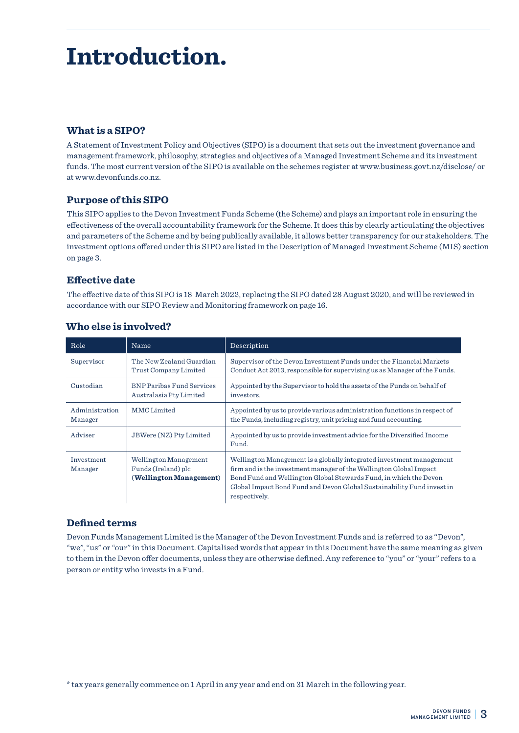### **Introduction.**

#### **What is a SIPO?**

A Statement of Investment Policy and Objectives (SIPO) is a document that sets out the investment governance and management framework, philosophy, strategies and objectives of a Managed Investment Scheme and its investment funds. The most current version of the SIPO is available on the schemes register at www.business.govt.nz/disclose/ or at www.devonfunds.co.nz.

#### **Purpose of this SIPO**

This SIPO applies to the Devon Investment Funds Scheme (the Scheme) and plays an important role in ensuring the effectiveness of the overall accountability framework for the Scheme. It does this by clearly articulating the objectives and parameters of the Scheme and by being publically available, it allows better transparency for our stakeholders. The investment options offered under this SIPO are listed in the Description of Managed Investment Scheme (MIS) section on page 3.

#### **Effective date**

The effective date of this SIPO is 18 March 2022, replacing the SIPO dated 28 August 2020, and will be reviewed in accordance with our SIPO Review and Monitoring framework on page 16.

| Role                      | Name                                                                    | Description                                                                                                                                                                                                                                                                                                |
|---------------------------|-------------------------------------------------------------------------|------------------------------------------------------------------------------------------------------------------------------------------------------------------------------------------------------------------------------------------------------------------------------------------------------------|
| Supervisor                | The New Zealand Guardian<br>Trust Company Limited                       | Supervisor of the Devon Investment Funds under the Financial Markets<br>Conduct Act 2013, responsible for supervising us as Manager of the Funds.                                                                                                                                                          |
| Custodian                 | <b>BNP Paribas Fund Services</b><br>Australasia Pty Limited             | Appointed by the Supervisor to hold the assets of the Funds on behalf of<br>investors.                                                                                                                                                                                                                     |
| Administration<br>Manager | MMC Limited                                                             | Appointed by us to provide various administration functions in respect of<br>the Funds, including registry, unit pricing and fund accounting.                                                                                                                                                              |
| Adviser                   | JBWere (NZ) Pty Limited                                                 | Appointed by us to provide investment advice for the Diversified Income<br>Fund.                                                                                                                                                                                                                           |
| Investment<br>Manager     | Wellington Management<br>Funds (Ireland) plc<br>(Wellington Management) | Wellington Management is a globally integrated investment management<br>firm and is the investment manager of the Wellington Global Impact<br>Bond Fund and Wellington Global Stewards Fund, in which the Devon<br>Global Impact Bond Fund and Devon Global Sustainability Fund invest in<br>respectively. |

#### **Who else is involved?**

#### **Defined terms**

Devon Funds Management Limited is the Manager of the Devon Investment Funds and is referred to as "Devon", "we", "us" or "our" in this Document. Capitalised words that appear in this Document have the same meaning as given to them in the Devon offer documents, unless they are otherwise defined. Any reference to "you" or "your" refers to a person or entity who invests in a Fund.

<sup>\*</sup> tax years generally commence on 1 April in any year and end on 31 March in the following year.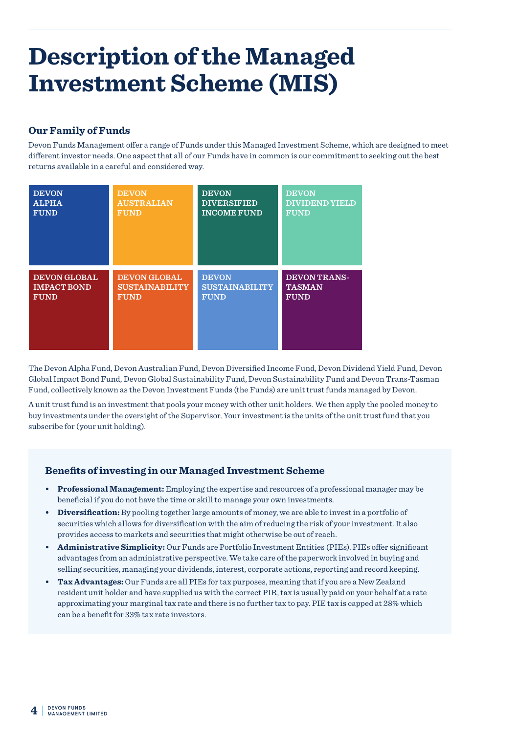### **Description of the Managed Investment Scheme (MIS)**

#### **Our Family of Funds**

Devon Funds Management offer a range of Funds under this Managed Investment Scheme, which are designed to meet different investor needs. One aspect that all of our Funds have in common is our commitment to seeking out the best returns available in a careful and considered way.

| <b>DEVON</b>        | <b>DEVON</b>          | <b>DEVON</b>          | <b>DEVON</b>          |
|---------------------|-----------------------|-----------------------|-----------------------|
| <b>ALPHA</b>        | <b>AUSTRALIAN</b>     | <b>DIVERSIFIED</b>    | <b>DIVIDEND YIELD</b> |
| <b>FUND</b>         | <b>FUND</b>           | <b>INCOME FUND</b>    | <b>FUND</b>           |
| <b>DEVON GLOBAL</b> | <b>DEVON GLOBAL</b>   | <b>DEVON</b>          | <b>DEVON TRANS-</b>   |
| <b>IMPACT BOND</b>  | <b>SUSTAINABILITY</b> | <b>SUSTAINABILITY</b> | <b>TASMAN</b>         |
| <b>FUND</b>         | <b>FUND</b>           | <b>FUND</b>           | <b>FUND</b>           |

The Devon Alpha Fund, Devon Australian Fund, Devon Diversified Income Fund, Devon Dividend Yield Fund, Devon Global Impact Bond Fund, Devon Global Sustainability Fund, Devon Sustainability Fund and Devon Trans-Tasman Fund, collectively known as the Devon Investment Funds (the Funds) are unit trust funds managed by Devon.

A unit trust fund is an investment that pools your money with other unit holders. We then apply the pooled money to buy investments under the oversight of the Supervisor. Your investment is the units of the unit trust fund that you subscribe for (your unit holding).

#### **Benefits of investing in our Managed Investment Scheme**

- **• Professional Management:** Employing the expertise and resources of a professional manager may be beneficial if you do not have the time or skill to manage your own investments.
- **• Diversification:** By pooling together large amounts of money, we are able to invest in a portfolio of securities which allows for diversification with the aim of reducing the risk of your investment. It also provides access to markets and securities that might otherwise be out of reach.
- **• Administrative Simplicity:** Our Funds are Portfolio Investment Entities (PIEs). PIEs offer significant advantages from an administrative perspective. We take care of the paperwork involved in buying and selling securities, managing your dividends, interest, corporate actions, reporting and record keeping.
- **• Tax Advantages:** Our Funds are all PIEs for tax purposes, meaning that if you are a New Zealand resident unit holder and have supplied us with the correct PIR, tax is usually paid on your behalf at a rate approximating your marginal tax rate and there is no further tax to pay. PIE tax is capped at 28% which can be a benefit for 33% tax rate investors.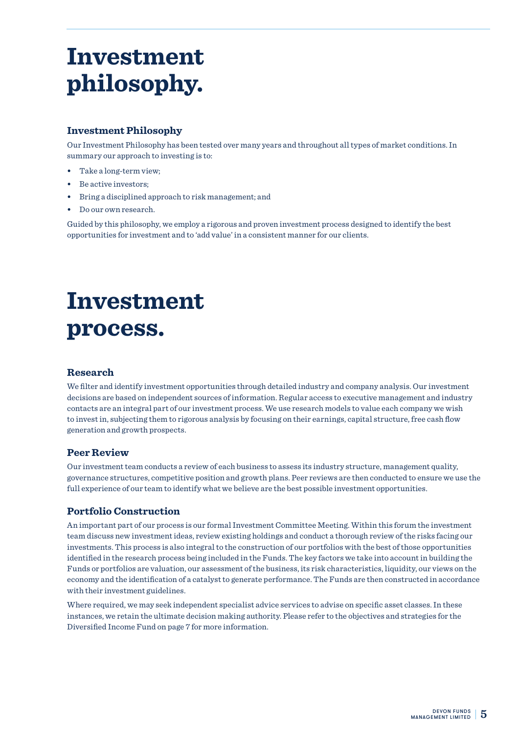### **Investment philosophy.**

#### **Investment Philosophy**

Our Investment Philosophy has been tested over many years and throughout all types of market conditions. In summary our approach to investing is to:

- **•** Take a long-term view;
- **•** Be active investors;
- **•** Bring a disciplined approach to risk management; and
- **•** Do our own research.

Guided by this philosophy, we employ a rigorous and proven investment process designed to identify the best opportunities for investment and to 'add value' in a consistent manner for our clients.

# **Investment process.**

#### **Research**

We filter and identify investment opportunities through detailed industry and company analysis. Our investment decisions are based on independent sources of information. Regular access to executive management and industry contacts are an integral part of our investment process. We use research models to value each company we wish to invest in, subjecting them to rigorous analysis by focusing on their earnings, capital structure, free cash flow generation and growth prospects.

#### **Peer Review**

Our investment team conducts a review of each business to assess its industry structure, management quality, governance structures, competitive position and growth plans. Peer reviews are then conducted to ensure we use the full experience of our team to identify what we believe are the best possible investment opportunities.

#### **Portfolio Construction**

An important part of our process is our formal Investment Committee Meeting. Within this forum the investment team discuss new investment ideas, review existing holdings and conduct a thorough review of the risks facing our investments. This process is also integral to the construction of our portfolios with the best of those opportunities identified in the research process being included in the Funds. The key factors we take into account in building the Funds or portfolios are valuation, our assessment of the business, its risk characteristics, liquidity, our views on the economy and the identification of a catalyst to generate performance. The Funds are then constructed in accordance with their investment guidelines.

Where required, we may seek independent specialist advice services to advise on specific asset classes. In these instances, we retain the ultimate decision making authority. Please refer to the objectives and strategies for the Diversified Income Fund on page 7 for more information.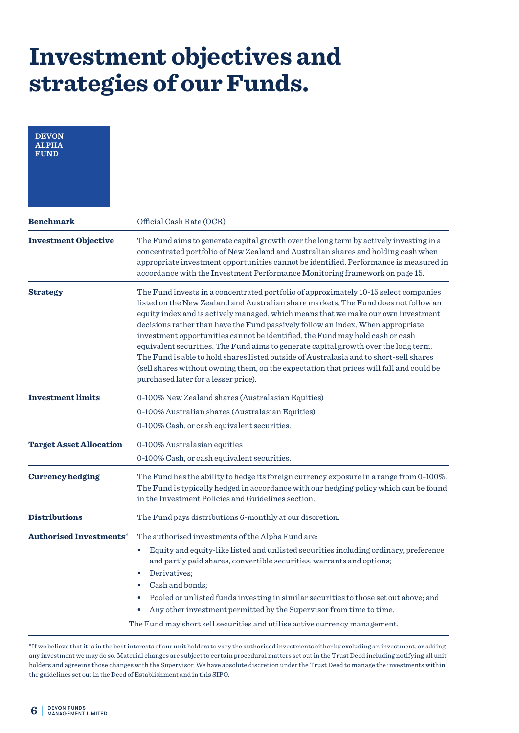| <b>DEVON</b><br>ALPHA<br><b>FUND</b> |                                                                                                                                                                                                                                                                                                                                                                                                                                                                                                                                                                                                                                                                                                                                                          |
|--------------------------------------|----------------------------------------------------------------------------------------------------------------------------------------------------------------------------------------------------------------------------------------------------------------------------------------------------------------------------------------------------------------------------------------------------------------------------------------------------------------------------------------------------------------------------------------------------------------------------------------------------------------------------------------------------------------------------------------------------------------------------------------------------------|
| <b>Benchmark</b>                     | Official Cash Rate (OCR)                                                                                                                                                                                                                                                                                                                                                                                                                                                                                                                                                                                                                                                                                                                                 |
| <b>Investment Objective</b>          | The Fund aims to generate capital growth over the long term by actively investing in a<br>concentrated portfolio of New Zealand and Australian shares and holding cash when<br>appropriate investment opportunities cannot be identified. Performance is measured in<br>accordance with the Investment Performance Monitoring framework on page 15.                                                                                                                                                                                                                                                                                                                                                                                                      |
| <b>Strategy</b>                      | The Fund invests in a concentrated portfolio of approximately 10-15 select companies<br>listed on the New Zealand and Australian share markets. The Fund does not follow an<br>equity index and is actively managed, which means that we make our own investment<br>decisions rather than have the Fund passively follow an index. When appropriate<br>investment opportunities cannot be identified, the Fund may hold cash or cash<br>equivalent securities. The Fund aims to generate capital growth over the long term.<br>The Fund is able to hold shares listed outside of Australasia and to short-sell shares<br>(sell shares without owning them, on the expectation that prices will fall and could be<br>purchased later for a lesser price). |
| <b>Investment limits</b>             | 0-100% New Zealand shares (Australasian Equities)<br>0-100% Australian shares (Australasian Equities)<br>0-100% Cash, or cash equivalent securities.                                                                                                                                                                                                                                                                                                                                                                                                                                                                                                                                                                                                     |
| <b>Target Asset Allocation</b>       | 0-100% Australasian equities<br>0-100% Cash, or cash equivalent securities.                                                                                                                                                                                                                                                                                                                                                                                                                                                                                                                                                                                                                                                                              |
| <b>Currency hedging</b>              | The Fund has the ability to hedge its foreign currency exposure in a range from 0-100%.<br>The Fund is typically hedged in accordance with our hedging policy which can be found<br>in the Investment Policies and Guidelines section.                                                                                                                                                                                                                                                                                                                                                                                                                                                                                                                   |
| <b>Distributions</b>                 | The Fund pays distributions 6-monthly at our discretion.                                                                                                                                                                                                                                                                                                                                                                                                                                                                                                                                                                                                                                                                                                 |
| <b>Authorised Investments*</b>       | The authorised investments of the Alpha Fund are:<br>Equity and equity-like listed and unlisted securities including ordinary, preference<br>$\bullet$<br>and partly paid shares, convertible securities, warrants and options;<br>Derivatives;<br>$\bullet$<br>Cash and bonds;<br>$\bullet$<br>Pooled or unlisted funds investing in similar securities to those set out above; and<br>$\bullet$<br>Any other investment permitted by the Supervisor from time to time.<br>٠<br>The Fund may short sell securities and utilise active currency management.                                                                                                                                                                                              |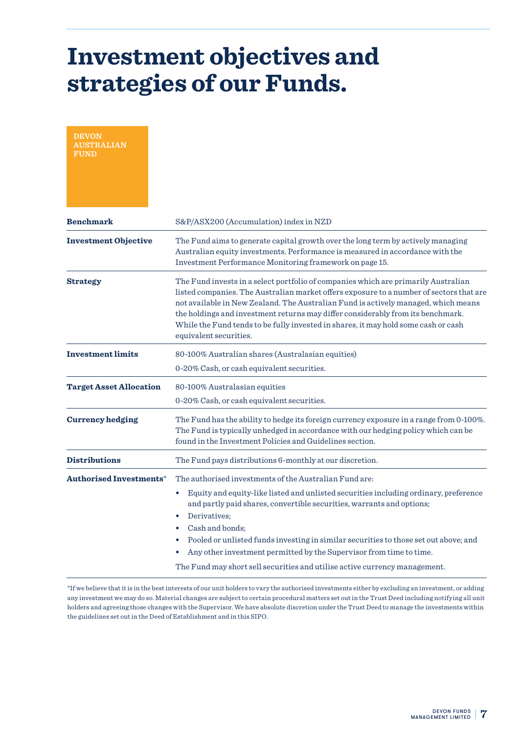| <b>DEVON</b><br><b>'RALIAN</b><br><b>FUND</b> |                                                                                                                                                                                                                                                                                                                                                                                                                                                                                                                           |
|-----------------------------------------------|---------------------------------------------------------------------------------------------------------------------------------------------------------------------------------------------------------------------------------------------------------------------------------------------------------------------------------------------------------------------------------------------------------------------------------------------------------------------------------------------------------------------------|
| <b>Benchmark</b>                              | S&P/ASX200 (Accumulation) index in NZD                                                                                                                                                                                                                                                                                                                                                                                                                                                                                    |
| <b>Investment Objective</b>                   | The Fund aims to generate capital growth over the long term by actively managing<br>Australian equity investments. Performance is measured in accordance with the<br>Investment Performance Monitoring framework on page 15.                                                                                                                                                                                                                                                                                              |
| <b>Strategy</b>                               | The Fund invests in a select portfolio of companies which are primarily Australian<br>listed companies. The Australian market offers exposure to a number of sectors that are<br>not available in New Zealand. The Australian Fund is actively managed, which means<br>the holdings and investment returns may differ considerably from its benchmark.<br>While the Fund tends to be fully invested in shares, it may hold some cash or cash<br>equivalent securities.                                                    |
| <b>Investment limits</b>                      | 80-100% Australian shares (Australasian equities)<br>0-20% Cash, or cash equivalent securities.                                                                                                                                                                                                                                                                                                                                                                                                                           |
| <b>Target Asset Allocation</b>                | 80-100% Australasian equities<br>0-20% Cash, or cash equivalent securities.                                                                                                                                                                                                                                                                                                                                                                                                                                               |
| <b>Currency hedging</b>                       | The Fund has the ability to hedge its foreign currency exposure in a range from 0-100%.<br>The Fund is typically unhedged in accordance with our hedging policy which can be<br>found in the Investment Policies and Guidelines section.                                                                                                                                                                                                                                                                                  |
| <b>Distributions</b>                          | The Fund pays distributions 6-monthly at our discretion.                                                                                                                                                                                                                                                                                                                                                                                                                                                                  |
| <b>Authorised Investments*</b>                | The authorised investments of the Australian Fund are:<br>Equity and equity-like listed and unlisted securities including ordinary, preference<br>٠<br>and partly paid shares, convertible securities, warrants and options;<br>Derivatives:<br>$\bullet$<br>Cash and bonds;<br>Pooled or unlisted funds investing in similar securities to those set out above; and<br>Any other investment permitted by the Supervisor from time to time.<br>The Fund may short sell securities and utilise active currency management. |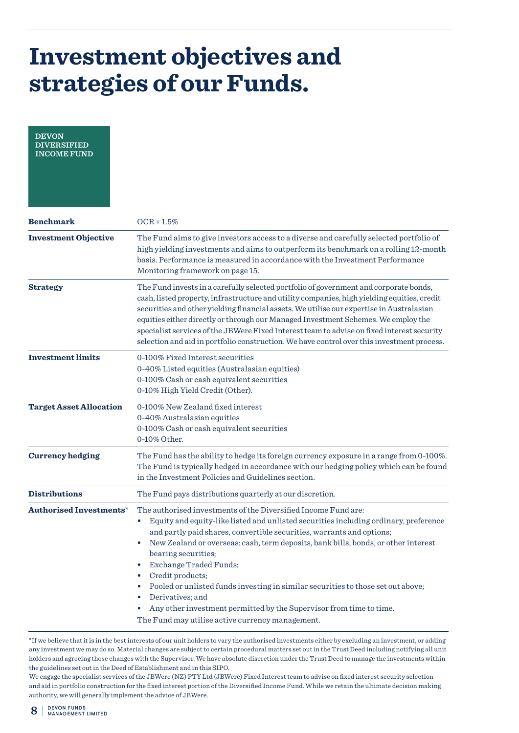| <b>DEVON</b><br><b>DIVERSIFIED</b><br><b>INCOME FUND</b> |                                                                                                                                                                                                                                                                                                                                                                                                                                                                                                                                                                                                                                                                                                       |
|----------------------------------------------------------|-------------------------------------------------------------------------------------------------------------------------------------------------------------------------------------------------------------------------------------------------------------------------------------------------------------------------------------------------------------------------------------------------------------------------------------------------------------------------------------------------------------------------------------------------------------------------------------------------------------------------------------------------------------------------------------------------------|
| <b>Benchmark</b>                                         | $OCR + 1.5%$                                                                                                                                                                                                                                                                                                                                                                                                                                                                                                                                                                                                                                                                                          |
| <b>Investment Objective</b>                              | The Fund aims to give investors access to a diverse and carefully selected portfolio of<br>high yielding investments and aims to outperform its benchmark on a rolling 12-month<br>basis. Performance is measured in accordance with the Investment Performance<br>Monitoring framework on page 15.                                                                                                                                                                                                                                                                                                                                                                                                   |
| <b>Strategy</b>                                          | The Fund invests in a carefully selected portfolio of government and corporate bonds,<br>cash, listed property, infrastructure and utility companies, high yielding equities, credit<br>securities and other yielding financial assets. We utilise our expertise in Australasian<br>equities either directly or through our Managed Investment Schemes. We employ the<br>specialist services of the JBWere Fixed Interest team to advise on fixed interest security<br>selection and aid in portfolio construction. We have control over this investment process.                                                                                                                                     |
| <b>Investment limits</b>                                 | 0-100% Fixed Interest securities<br>0-40% Listed equities (Australasian equities)<br>0-100% Cash or cash equivalent securities<br>0-10% High Yield Credit (Other).                                                                                                                                                                                                                                                                                                                                                                                                                                                                                                                                    |
| <b>Target Asset Allocation</b>                           | 0-100% New Zealand fixed interest<br>0-40% Australasian equities<br>0-100% Cash or cash equivalent securities<br>0-10% Other.                                                                                                                                                                                                                                                                                                                                                                                                                                                                                                                                                                         |
| <b>Currency hedging</b>                                  | The Fund has the ability to hedge its foreign currency exposure in a range from 0-100%.<br>The Fund is typically hedged in accordance with our hedging policy which can be found<br>in the Investment Policies and Guidelines section.                                                                                                                                                                                                                                                                                                                                                                                                                                                                |
| <b>Distributions</b>                                     | The Fund pays distributions quarterly at our discretion.                                                                                                                                                                                                                                                                                                                                                                                                                                                                                                                                                                                                                                              |
| Authorised Investments*                                  | The authorised investments of the Diversified Income Fund are:<br>Equity and equity-like listed and unlisted securities including ordinary, preference<br>and partly paid shares, convertible securities, warrants and options;<br>New Zealand or overseas: cash, term deposits, bank bills, bonds, or other interest<br>$\bullet$<br>bearing securities;<br><b>Exchange Traded Funds;</b><br>$\bullet$<br>Credit products;<br>$\bullet$<br>Pooled or unlisted funds investing in similar securities to those set out above;<br>$\bullet$<br>Derivatives; and<br>$\bullet$<br>Any other investment permitted by the Supervisor from time to time.<br>The Fund may utilise active currency management. |

<sup>\*</sup>If we believe that it is in the best interests of our unit holders to vary the authorised investments either by excluding an investment, or adding any investment we may do so. Material changes are subject to certain procedural matters set out in the Trust Deed including notifying all unit holders and agreeing those changes with the Supervisor. We have absolute discretion under the Trust Deed to manage the investments within the guidelines set out in the Deed of Establishment and in this SIPO.

We engage the specialist services of the JBWere (NZ) PTY Ltd (JBWere) Fixed Interest team to advise on fixed interest security selection and aid in portfolio construction for the fixed interest portion of the Diversified Income Fund. While we retain the ultimate decision making authority, we will generally implement the advice of JBWere.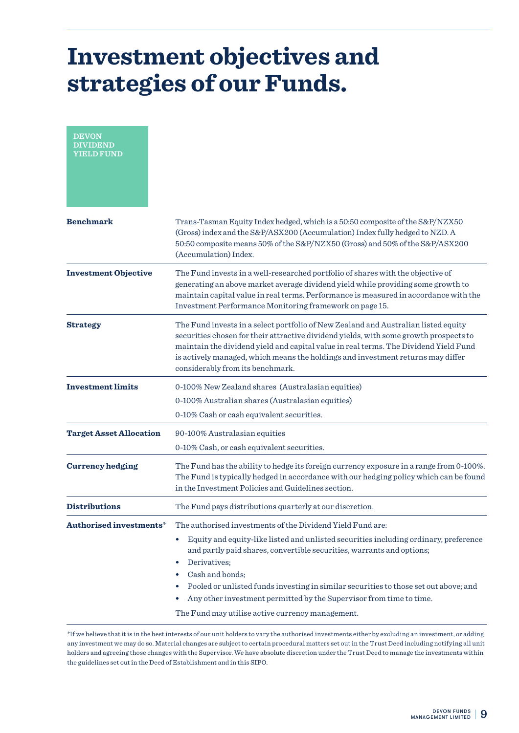| <b>DEVON</b><br><b>DIVIDEND</b><br><b>YIELD FUND</b> |                                                                                                                                                                                                                                                                                                                                                                                                                                               |
|------------------------------------------------------|-----------------------------------------------------------------------------------------------------------------------------------------------------------------------------------------------------------------------------------------------------------------------------------------------------------------------------------------------------------------------------------------------------------------------------------------------|
| <b>Benchmark</b>                                     | Trans-Tasman Equity Index hedged, which is a 50:50 composite of the S&P/NZX50<br>(Gross) index and the S&P/ASX200 (Accumulation) Index fully hedged to NZD. A<br>50:50 composite means 50% of the S&P/NZX50 (Gross) and 50% of the S&P/ASX200<br>(Accumulation) Index.                                                                                                                                                                        |
| <b>Investment Objective</b>                          | The Fund invests in a well-researched portfolio of shares with the objective of<br>generating an above market average dividend yield while providing some growth to<br>maintain capital value in real terms. Performance is measured in accordance with the<br>Investment Performance Monitoring framework on page 15.                                                                                                                        |
| <b>Strategy</b>                                      | The Fund invests in a select portfolio of New Zealand and Australian listed equity<br>securities chosen for their attractive dividend yields, with some growth prospects to<br>maintain the dividend yield and capital value in real terms. The Dividend Yield Fund<br>is actively managed, which means the holdings and investment returns may differ<br>considerably from its benchmark.                                                    |
| <b>Investment limits</b>                             | 0-100% New Zealand shares (Australasian equities)                                                                                                                                                                                                                                                                                                                                                                                             |
|                                                      | 0-100% Australian shares (Australasian equities)                                                                                                                                                                                                                                                                                                                                                                                              |
|                                                      | 0-10% Cash or cash equivalent securities.                                                                                                                                                                                                                                                                                                                                                                                                     |
| <b>Target Asset Allocation</b>                       | 90-100% Australasian equities<br>0-10% Cash, or cash equivalent securities.                                                                                                                                                                                                                                                                                                                                                                   |
| <b>Currency hedging</b>                              | The Fund has the ability to hedge its foreign currency exposure in a range from 0-100%.<br>The Fund is typically hedged in accordance with our hedging policy which can be found<br>in the Investment Policies and Guidelines section.                                                                                                                                                                                                        |
| <b>Distributions</b>                                 | The Fund pays distributions quarterly at our discretion.                                                                                                                                                                                                                                                                                                                                                                                      |
| Authorised investments*                              | The authorised investments of the Dividend Yield Fund are:<br>$\bullet$                                                                                                                                                                                                                                                                                                                                                                       |
|                                                      | Equity and equity-like listed and unlisted securities including ordinary, preference<br>and partly paid shares, convertible securities, warrants and options;<br>Derivatives;<br>$\bullet$<br>Cash and bonds;<br>$\bullet$<br>Pooled or unlisted funds investing in similar securities to those set out above; and<br>Any other investment permitted by the Supervisor from time to time.<br>The Fund may utilise active currency management. |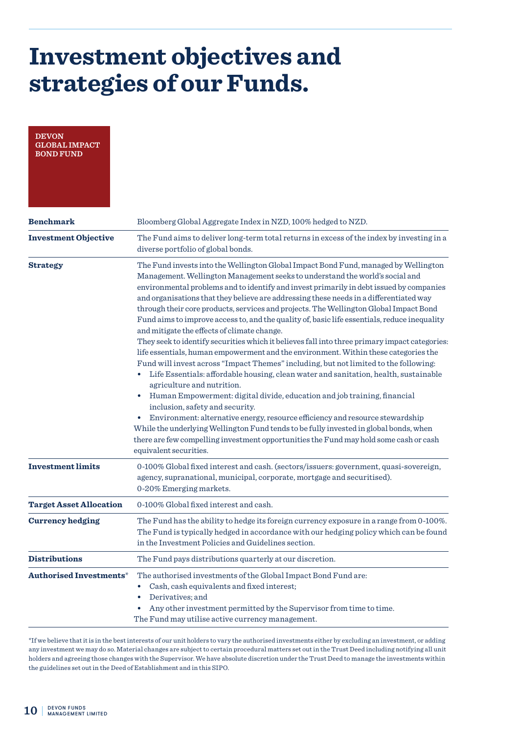| <b>DEVON</b><br><b>GLOBAL IMPACT</b><br><b>BOND FUND</b> |                                                                                                                                                                                                                                                                                                                                                                                                                                                                                                                                                                                                                                                                                                                                                                                                                                                                                                                                                                                                                                                                                                                                                                                                                                                                                                                                                                                                                    |
|----------------------------------------------------------|--------------------------------------------------------------------------------------------------------------------------------------------------------------------------------------------------------------------------------------------------------------------------------------------------------------------------------------------------------------------------------------------------------------------------------------------------------------------------------------------------------------------------------------------------------------------------------------------------------------------------------------------------------------------------------------------------------------------------------------------------------------------------------------------------------------------------------------------------------------------------------------------------------------------------------------------------------------------------------------------------------------------------------------------------------------------------------------------------------------------------------------------------------------------------------------------------------------------------------------------------------------------------------------------------------------------------------------------------------------------------------------------------------------------|
| <b>Benchmark</b>                                         | Bloomberg Global Aggregate Index in NZD, 100% hedged to NZD.                                                                                                                                                                                                                                                                                                                                                                                                                                                                                                                                                                                                                                                                                                                                                                                                                                                                                                                                                                                                                                                                                                                                                                                                                                                                                                                                                       |
| <b>Investment Objective</b>                              | The Fund aims to deliver long-term total returns in excess of the index by investing in a<br>diverse portfolio of global bonds.                                                                                                                                                                                                                                                                                                                                                                                                                                                                                                                                                                                                                                                                                                                                                                                                                                                                                                                                                                                                                                                                                                                                                                                                                                                                                    |
| <b>Strategy</b>                                          | The Fund invests into the Wellington Global Impact Bond Fund, managed by Wellington<br>Management. Wellington Management seeks to understand the world's social and<br>environmental problems and to identify and invest primarily in debt issued by companies<br>and organisations that they believe are addressing these needs in a differentiated way<br>through their core products, services and projects. The Wellington Global Impact Bond<br>Fund aims to improve access to, and the quality of, basic life essentials, reduce inequality<br>and mitigate the effects of climate change.<br>They seek to identify securities which it believes fall into three primary impact categories:<br>life essentials, human empowerment and the environment. Within these categories the<br>Fund will invest across "Impact Themes" including, but not limited to the following:<br>Life Essentials: affordable housing, clean water and sanitation, health, sustainable<br>agriculture and nutrition.<br>Human Empowerment: digital divide, education and job training, financial<br>inclusion, safety and security.<br>Environment: alternative energy, resource efficiency and resource stewardship<br>While the underlying Wellington Fund tends to be fully invested in global bonds, when<br>there are few compelling investment opportunities the Fund may hold some cash or cash<br>equivalent securities. |
| <b>Investment limits</b>                                 | 0-100% Global fixed interest and cash. (sectors/issuers: government, quasi-sovereign,<br>agency, supranational, municipal, corporate, mortgage and securitised).<br>0-20% Emerging markets.                                                                                                                                                                                                                                                                                                                                                                                                                                                                                                                                                                                                                                                                                                                                                                                                                                                                                                                                                                                                                                                                                                                                                                                                                        |
| <b>Target Asset Allocation</b>                           | 0-100% Global fixed interest and cash.                                                                                                                                                                                                                                                                                                                                                                                                                                                                                                                                                                                                                                                                                                                                                                                                                                                                                                                                                                                                                                                                                                                                                                                                                                                                                                                                                                             |
| <b>Currency hedging</b>                                  | The Fund has the ability to hedge its foreign currency exposure in a range from 0-100%.<br>The Fund is typically hedged in accordance with our hedging policy which can be found<br>in the Investment Policies and Guidelines section.                                                                                                                                                                                                                                                                                                                                                                                                                                                                                                                                                                                                                                                                                                                                                                                                                                                                                                                                                                                                                                                                                                                                                                             |
| <b>Distributions</b>                                     | The Fund pays distributions quarterly at our discretion.                                                                                                                                                                                                                                                                                                                                                                                                                                                                                                                                                                                                                                                                                                                                                                                                                                                                                                                                                                                                                                                                                                                                                                                                                                                                                                                                                           |
| <b>Authorised Investments*</b>                           | The authorised investments of the Global Impact Bond Fund are:<br>Cash, cash equivalents and fixed interest;<br>$\bullet$<br>Derivatives; and<br>Any other investment permitted by the Supervisor from time to time.<br>$\bullet$<br>The Fund may utilise active currency management.                                                                                                                                                                                                                                                                                                                                                                                                                                                                                                                                                                                                                                                                                                                                                                                                                                                                                                                                                                                                                                                                                                                              |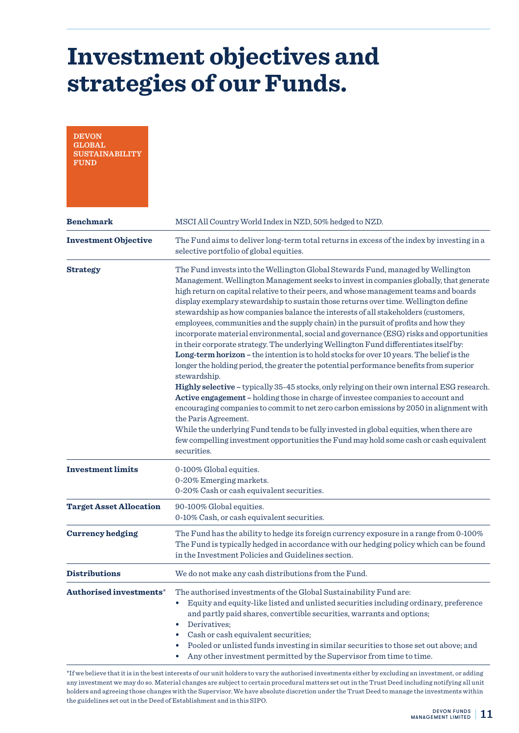| <b>DEVON</b><br><b>GLOBAL</b><br><b>SUSTAINABILITY</b><br><b>FUND</b> |                                                                                                                                                                                                                                                                                                                                                                                                                                                                                                                                                                                                                                                                                                                                                                                                                                                                                                                                                                                                                                                                                                                                                                                                                                                                                                                                                                                                                                             |
|-----------------------------------------------------------------------|---------------------------------------------------------------------------------------------------------------------------------------------------------------------------------------------------------------------------------------------------------------------------------------------------------------------------------------------------------------------------------------------------------------------------------------------------------------------------------------------------------------------------------------------------------------------------------------------------------------------------------------------------------------------------------------------------------------------------------------------------------------------------------------------------------------------------------------------------------------------------------------------------------------------------------------------------------------------------------------------------------------------------------------------------------------------------------------------------------------------------------------------------------------------------------------------------------------------------------------------------------------------------------------------------------------------------------------------------------------------------------------------------------------------------------------------|
| <b>Benchmark</b>                                                      | MSCI All Country World Index in NZD, 50% hedged to NZD.                                                                                                                                                                                                                                                                                                                                                                                                                                                                                                                                                                                                                                                                                                                                                                                                                                                                                                                                                                                                                                                                                                                                                                                                                                                                                                                                                                                     |
| <b>Investment Objective</b>                                           | The Fund aims to deliver long-term total returns in excess of the index by investing in a<br>selective portfolio of global equities.                                                                                                                                                                                                                                                                                                                                                                                                                                                                                                                                                                                                                                                                                                                                                                                                                                                                                                                                                                                                                                                                                                                                                                                                                                                                                                        |
| <b>Strategy</b>                                                       | The Fund invests into the Wellington Global Stewards Fund, managed by Wellington<br>Management. Wellington Management seeks to invest in companies globally, that generate<br>high return on capital relative to their peers, and whose management teams and boards<br>display exemplary stewardship to sustain those returns over time. Wellington define<br>stewardship as how companies balance the interests of all stakeholders (customers,<br>employees, communities and the supply chain) in the pursuit of profits and how they<br>incorporate material environmental, social and governance (ESG) risks and opportunities<br>in their corporate strategy. The underlying Wellington Fund differentiates itself by:<br>Long-term horizon - the intention is to hold stocks for over 10 years. The belief is the<br>longer the holding period, the greater the potential performance benefits from superior<br>stewardship.<br>Highly selective - typically 35-45 stocks, only relying on their own internal ESG research.<br>Active engagement - holding those in charge of investee companies to account and<br>encouraging companies to commit to net zero carbon emissions by 2050 in alignment with<br>the Paris Agreement.<br>While the underlying Fund tends to be fully invested in global equities, when there are<br>few compelling investment opportunities the Fund may hold some cash or cash equivalent<br>securities. |
| <b>Investment limits</b>                                              | 0-100% Global equities.<br>0-20% Emerging markets.<br>0-20% Cash or cash equivalent securities.                                                                                                                                                                                                                                                                                                                                                                                                                                                                                                                                                                                                                                                                                                                                                                                                                                                                                                                                                                                                                                                                                                                                                                                                                                                                                                                                             |
| <b>Target Asset Allocation</b>                                        | 90-100% Global equities.<br>0-10% Cash, or cash equivalent securities.                                                                                                                                                                                                                                                                                                                                                                                                                                                                                                                                                                                                                                                                                                                                                                                                                                                                                                                                                                                                                                                                                                                                                                                                                                                                                                                                                                      |
| <b>Currency hedging</b>                                               | The Fund has the ability to hedge its foreign currency exposure in a range from 0-100%<br>The Fund is typically hedged in accordance with our hedging policy which can be found<br>in the Investment Policies and Guidelines section.                                                                                                                                                                                                                                                                                                                                                                                                                                                                                                                                                                                                                                                                                                                                                                                                                                                                                                                                                                                                                                                                                                                                                                                                       |
| <b>Distributions</b>                                                  | We do not make any cash distributions from the Fund.                                                                                                                                                                                                                                                                                                                                                                                                                                                                                                                                                                                                                                                                                                                                                                                                                                                                                                                                                                                                                                                                                                                                                                                                                                                                                                                                                                                        |
| Authorised investments*                                               | The authorised investments of the Global Sustainability Fund are:<br>Equity and equity-like listed and unlisted securities including ordinary, preference<br>$\bullet$<br>and partly paid shares, convertible securities, warrants and options;<br>Derivatives;<br>$\bullet$<br>Cash or cash equivalent securities;<br>٠<br>Pooled or unlisted funds investing in similar securities to those set out above; and<br>Any other investment permitted by the Supervisor from time to time.<br>*If we believe that it is in the best interests of our unit holders to vary the authorised investments either by excluding an investment, or adding                                                                                                                                                                                                                                                                                                                                                                                                                                                                                                                                                                                                                                                                                                                                                                                              |

any investment we may do so. Material changes are subject to certain procedural matters set out in the Trust Deed including notifying all unit holders and agreeing those changes with the Supervisor. We have absolute discretion under the Trust Deed to manage the investments within the guidelines set out in the Deed of Establishment and in this SIPO.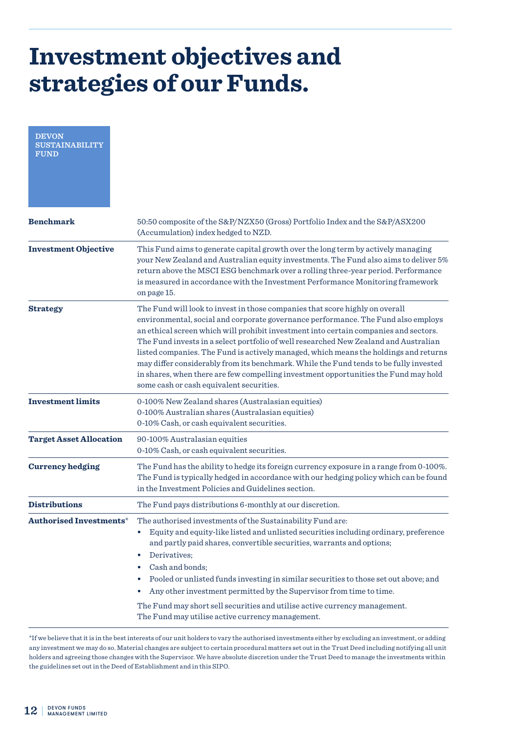| <b>DEVON</b><br><b>SUSTAINABILITY</b><br><b>FUND</b> |                                                                                                                                                                                                                                                                                                                                                                                                                                                                                                                                                                                                                                                                       |
|------------------------------------------------------|-----------------------------------------------------------------------------------------------------------------------------------------------------------------------------------------------------------------------------------------------------------------------------------------------------------------------------------------------------------------------------------------------------------------------------------------------------------------------------------------------------------------------------------------------------------------------------------------------------------------------------------------------------------------------|
| <b>Benchmark</b>                                     | 50:50 composite of the S&P/NZX50 (Gross) Portfolio Index and the S&P/ASX200<br>(Accumulation) index hedged to NZD.                                                                                                                                                                                                                                                                                                                                                                                                                                                                                                                                                    |
| <b>Investment Objective</b>                          | This Fund aims to generate capital growth over the long term by actively managing<br>your New Zealand and Australian equity investments. The Fund also aims to deliver 5%<br>return above the MSCI ESG benchmark over a rolling three-year period. Performance<br>is measured in accordance with the Investment Performance Monitoring framework<br>on page 15.                                                                                                                                                                                                                                                                                                       |
| <b>Strategy</b>                                      | The Fund will look to invest in those companies that score highly on overall<br>environmental, social and corporate governance performance. The Fund also employs<br>an ethical screen which will prohibit investment into certain companies and sectors.<br>The Fund invests in a select portfolio of well researched New Zealand and Australian<br>listed companies. The Fund is actively managed, which means the holdings and returns<br>may differ considerably from its benchmark. While the Fund tends to be fully invested<br>in shares, when there are few compelling investment opportunities the Fund may hold<br>some cash or cash equivalent securities. |
| <b>Investment limits</b>                             | 0-100% New Zealand shares (Australasian equities)<br>0-100% Australian shares (Australasian equities)<br>0-10% Cash, or cash equivalent securities.                                                                                                                                                                                                                                                                                                                                                                                                                                                                                                                   |
| <b>Target Asset Allocation</b>                       | 90-100% Australasian equities<br>0-10% Cash, or cash equivalent securities.                                                                                                                                                                                                                                                                                                                                                                                                                                                                                                                                                                                           |
| <b>Currency hedging</b>                              | The Fund has the ability to hedge its foreign currency exposure in a range from 0-100%.<br>The Fund is typically hedged in accordance with our hedging policy which can be found<br>in the Investment Policies and Guidelines section.                                                                                                                                                                                                                                                                                                                                                                                                                                |
| <b>Distributions</b>                                 | The Fund pays distributions 6-monthly at our discretion.                                                                                                                                                                                                                                                                                                                                                                                                                                                                                                                                                                                                              |
| <b>Authorised Investments*</b>                       | The authorised investments of the Sustainability Fund are:<br>Equity and equity-like listed and unlisted securities including ordinary, preference<br>$\bullet$<br>and partly paid shares, convertible securities, warrants and options;<br>Derivatives;<br>٠<br>Cash and bonds;<br>$\bullet$<br>Pooled or unlisted funds investing in similar securities to those set out above; and<br>$\bullet$<br>Any other investment permitted by the Supervisor from time to time.<br>The Fund may short sell securities and utilise active currency management.<br>The Fund may utilise active currency management.                                                           |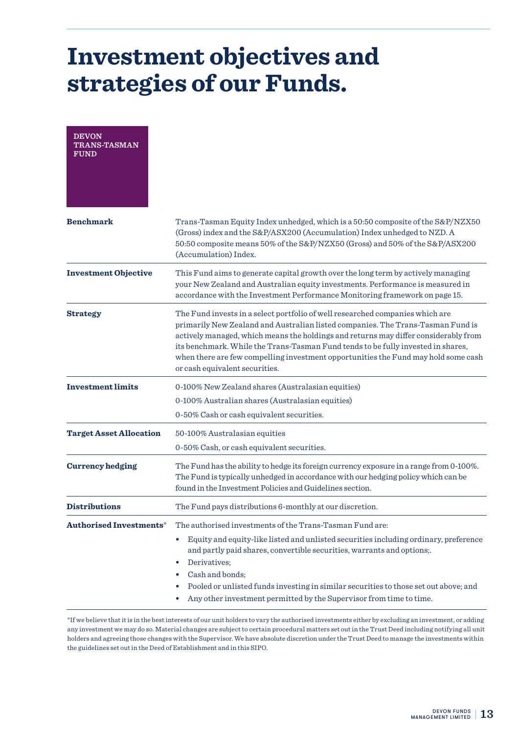| <b>DEVON</b><br><b>TRANS-TASMAN</b><br><b>FUND</b> |                                                                                                                                                                                                                                                                                                                                                                                                                                                                     |
|----------------------------------------------------|---------------------------------------------------------------------------------------------------------------------------------------------------------------------------------------------------------------------------------------------------------------------------------------------------------------------------------------------------------------------------------------------------------------------------------------------------------------------|
| <b>Benchmark</b>                                   | Trans-Tasman Equity Index unhedged, which is a 50:50 composite of the S&P/NZX50<br>(Gross) index and the S&P/ASX200 (Accumulation) Index unhedged to NZD. A<br>50:50 composite means 50% of the S&P/NZX50 (Gross) and 50% of the S&P/ASX200<br>(Accumulation) Index.                                                                                                                                                                                                |
| <b>Investment Objective</b>                        | This Fund aims to generate capital growth over the long term by actively managing<br>your New Zealand and Australian equity investments. Performance is measured in<br>accordance with the Investment Performance Monitoring framework on page 15.                                                                                                                                                                                                                  |
| <b>Strategy</b>                                    | The Fund invests in a select portfolio of well researched companies which are<br>primarily New Zealand and Australian listed companies. The Trans-Tasman Fund is<br>actively managed, which means the holdings and returns may differ considerably from<br>its benchmark. While the Trans-Tasman Fund tends to be fully invested in shares,<br>when there are few compelling investment opportunities the Fund may hold some cash<br>or cash equivalent securities. |
| <b>Investment limits</b>                           | 0-100% New Zealand shares (Australasian equities)                                                                                                                                                                                                                                                                                                                                                                                                                   |
|                                                    | 0-100% Australian shares (Australasian equities)                                                                                                                                                                                                                                                                                                                                                                                                                    |
|                                                    | 0-50% Cash or cash equivalent securities.                                                                                                                                                                                                                                                                                                                                                                                                                           |
| <b>Target Asset Allocation</b>                     | 50-100% Australasian equities<br>0-50% Cash, or cash equivalent securities.                                                                                                                                                                                                                                                                                                                                                                                         |
| <b>Currency hedging</b>                            | The Fund has the ability to hedge its foreign currency exposure in a range from 0-100%.<br>The Fund is typically unhedged in accordance with our hedging policy which can be<br>found in the Investment Policies and Guidelines section.                                                                                                                                                                                                                            |
| <b>Distributions</b>                               | The Fund pays distributions 6-monthly at our discretion.                                                                                                                                                                                                                                                                                                                                                                                                            |
| Authorised Investments*                            | The authorised investments of the Trans-Tasman Fund are:                                                                                                                                                                                                                                                                                                                                                                                                            |
|                                                    | Equity and equity-like listed and unlisted securities including ordinary, preference<br>$\bullet$<br>and partly paid shares, convertible securities, warrants and options;.<br>Derivatives;<br>$\bullet$<br>Cash and bonds;<br>٠<br>Pooled or unlisted funds investing in similar securities to those set out above; and<br>$\bullet$<br>Any other investment permitted by the Supervisor from time to time.                                                        |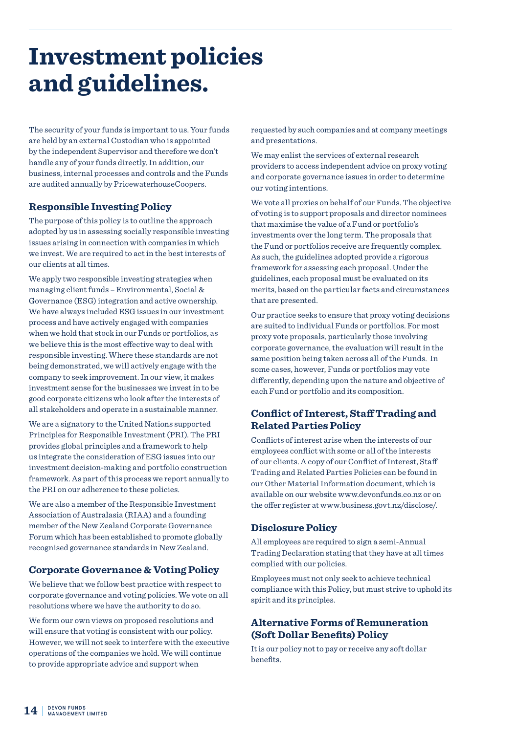### **Investment policies and guidelines.**

The security of your funds is important to us. Your funds are held by an external Custodian who is appointed by the independent Supervisor and therefore we don't handle any of your funds directly. In addition, our business, internal processes and controls and the Funds are audited annually by PricewaterhouseCoopers.

#### **Responsible Investing Policy**

The purpose of this policy is to outline the approach adopted by us in assessing socially responsible investing issues arising in connection with companies in which we invest. We are required to act in the best interests of our clients at all times.

We apply two responsible investing strategies when managing client funds – Environmental, Social & Governance (ESG) integration and active ownership. We have always included ESG issues in our investment process and have actively engaged with companies when we hold that stock in our Funds or portfolios, as we believe this is the most effective way to deal with responsible investing. Where these standards are not being demonstrated, we will actively engage with the company to seek improvement. In our view, it makes investment sense for the businesses we invest in to be good corporate citizens who look after the interests of all stakeholders and operate in a sustainable manner.

We are a signatory to the United Nations supported Principles for Responsible Investment (PRI). The PRI provides global principles and a framework to help us integrate the consideration of ESG issues into our investment decision-making and portfolio construction framework. As part of this process we report annually to the PRI on our adherence to these policies.

We are also a member of the Responsible Investment Association of Australasia (RIAA) and a founding member of the New Zealand Corporate Governance Forum which has been established to promote globally recognised governance standards in New Zealand.

#### **Corporate Governance & Voting Policy**

We believe that we follow best practice with respect to corporate governance and voting policies. We vote on all resolutions where we have the authority to do so.

We form our own views on proposed resolutions and will ensure that voting is consistent with our policy. However, we will not seek to interfere with the executive operations of the companies we hold. We will continue to provide appropriate advice and support when

requested by such companies and at company meetings and presentations.

We may enlist the services of external research providers to access independent advice on proxy voting and corporate governance issues in order to determine our voting intentions.

We vote all proxies on behalf of our Funds. The objective of voting is to support proposals and director nominees that maximise the value of a Fund or portfolio's investments over the long term. The proposals that the Fund or portfolios receive are frequently complex. As such, the guidelines adopted provide a rigorous framework for assessing each proposal. Under the guidelines, each proposal must be evaluated on its merits, based on the particular facts and circumstances that are presented.

Our practice seeks to ensure that proxy voting decisions are suited to individual Funds or portfolios. For most proxy vote proposals, particularly those involving corporate governance, the evaluation will result in the same position being taken across all of the Funds. In some cases, however, Funds or portfolios may vote differently, depending upon the nature and objective of each Fund or portfolio and its composition.

#### **Conflict of Interest, Staff Trading and Related Parties Policy**

Conflicts of interest arise when the interests of our employees conflict with some or all of the interests of our clients. A copy of our Conflict of Interest, Staff Trading and Related Parties Policies can be found in our Other Material Information document, which is available on our website www.devonfunds.co.nz or on the offer register at www.business.govt.nz/disclose/.

#### **Disclosure Policy**

All employees are required to sign a semi-Annual Trading Declaration stating that they have at all times complied with our policies.

Employees must not only seek to achieve technical compliance with this Policy, but must strive to uphold its spirit and its principles.

#### **Alternative Forms of Remuneration (Soft Dollar Benefits) Policy**

It is our policy not to pay or receive any soft dollar benefits.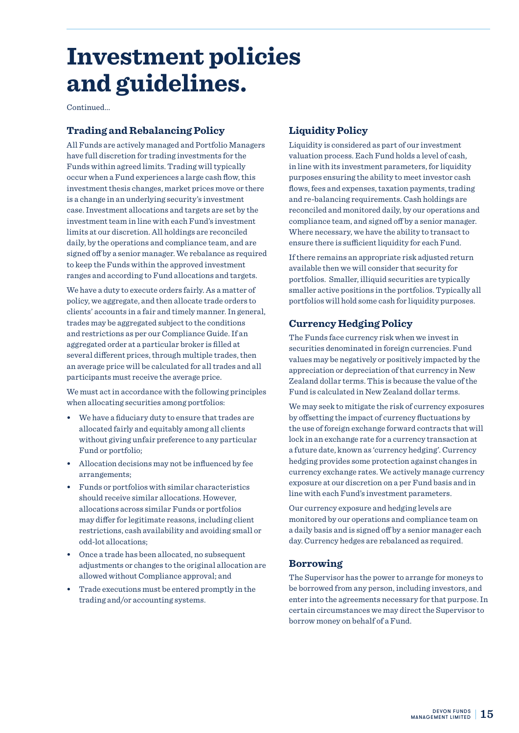### **Investment policies and guidelines.**

Continued...

#### **Trading and Rebalancing Policy**

All Funds are actively managed and Portfolio Managers have full discretion for trading investments for the Funds within agreed limits. Trading will typically occur when a Fund experiences a large cash flow, this investment thesis changes, market prices move or there is a change in an underlying security's investment case. Investment allocations and targets are set by the investment team in line with each Fund's investment limits at our discretion. All holdings are reconciled daily, by the operations and compliance team, and are signed off by a senior manager. We rebalance as required to keep the Funds within the approved investment ranges and according to Fund allocations and targets.

We have a duty to execute orders fairly. As a matter of policy, we aggregate, and then allocate trade orders to clients' accounts in a fair and timely manner. In general, trades may be aggregated subject to the conditions and restrictions as per our Compliance Guide. If an aggregated order at a particular broker is filled at several different prices, through multiple trades, then an average price will be calculated for all trades and all participants must receive the average price.

We must act in accordance with the following principles when allocating securities among portfolios:

- **•** We have a fiduciary duty to ensure that trades are allocated fairly and equitably among all clients without giving unfair preference to any particular Fund or portfolio;
- **•** Allocation decisions may not be influenced by fee arrangements;
- **•** Funds or portfolios with similar characteristics should receive similar allocations. However, allocations across similar Funds or portfolios may differ for legitimate reasons, including client restrictions, cash availability and avoiding small or odd-lot allocations;
- **•** Once a trade has been allocated, no subsequent adjustments or changes to the original allocation are allowed without Compliance approval; and
- **•** Trade executions must be entered promptly in the trading and/or accounting systems.

#### **Liquidity Policy**

Liquidity is considered as part of our investment valuation process. Each Fund holds a level of cash, in line with its investment parameters, for liquidity purposes ensuring the ability to meet investor cash flows, fees and expenses, taxation payments, trading and re-balancing requirements. Cash holdings are reconciled and monitored daily, by our operations and compliance team, and signed off by a senior manager. Where necessary, we have the ability to transact to ensure there is sufficient liquidity for each Fund.

If there remains an appropriate risk adjusted return available then we will consider that security for portfolios. Smaller, illiquid securities are typically smaller active positions in the portfolios. Typically all portfolios will hold some cash for liquidity purposes.

#### **Currency Hedging Policy**

The Funds face currency risk when we invest in securities denominated in foreign currencies. Fund values may be negatively or positively impacted by the appreciation or depreciation of that currency in New Zealand dollar terms. This is because the value of the Fund is calculated in New Zealand dollar terms.

We may seek to mitigate the risk of currency exposures by offsetting the impact of currency fluctuations by the use of foreign exchange forward contracts that will lock in an exchange rate for a currency transaction at a future date, known as 'currency hedging'. Currency hedging provides some protection against changes in currency exchange rates. We actively manage currency exposure at our discretion on a per Fund basis and in line with each Fund's investment parameters.

Our currency exposure and hedging levels are monitored by our operations and compliance team on a daily basis and is signed off by a senior manager each day. Currency hedges are rebalanced as required.

#### **Borrowing**

The Supervisor has the power to arrange for moneys to be borrowed from any person, including investors, and enter into the agreements necessary for that purpose. In certain circumstances we may direct the Supervisor to borrow money on behalf of a Fund.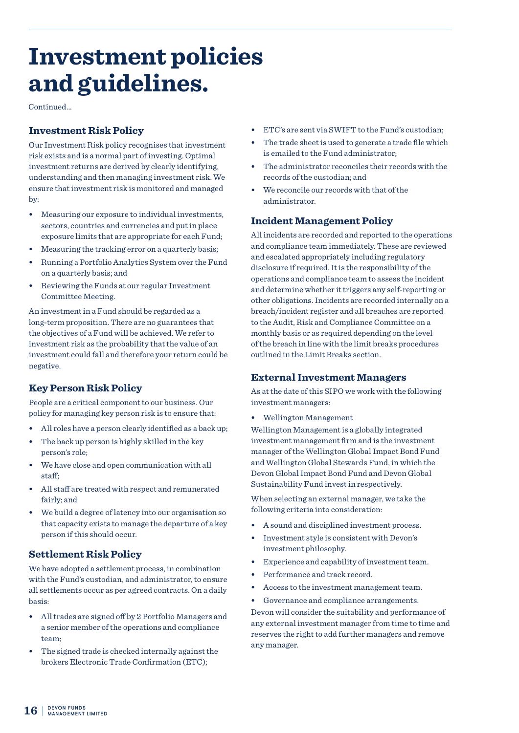### **Investment policies and guidelines.**

**Continued.** 

#### **Investment Risk Policy**

Our Investment Risk policy recognises that investment risk exists and is a normal part of investing. Optimal investment returns are derived by clearly identifying, understanding and then managing investment risk. We ensure that investment risk is monitored and managed by:

- **•** Measuring our exposure to individual investments, sectors, countries and currencies and put in place exposure limits that are appropriate for each Fund;
- **•** Measuring the tracking error on a quarterly basis;
- **•** Running a Portfolio Analytics System over the Fund on a quarterly basis; and
- **•** Reviewing the Funds at our regular Investment Committee Meeting.

An investment in a Fund should be regarded as a long-term proposition. There are no guarantees that the objectives of a Fund will be achieved. We refer to investment risk as the probability that the value of an investment could fall and therefore your return could be negative.

#### **Key Person Risk Policy**

People are a critical component to our business. Our policy for managing key person risk is to ensure that:

- **•** All roles have a person clearly identified as a back up;
- **•** The back up person is highly skilled in the key person's role;
- **•** We have close and open communication with all staff;
- **•** All staff are treated with respect and remunerated fairly; and
- **•** We build a degree of latency into our organisation so that capacity exists to manage the departure of a key person if this should occur.

#### **Settlement Risk Policy**

We have adopted a settlement process, in combination with the Fund's custodian, and administrator, to ensure all settlements occur as per agreed contracts. On a daily basis:

- **•** All trades are signed off by 2 Portfolio Managers and a senior member of the operations and compliance team;
- **•** The signed trade is checked internally against the brokers Electronic Trade Confirmation (ETC);
- **•** ETC's are sent via SWIFT to the Fund's custodian;
- **•** The trade sheet is used to generate a trade file which is emailed to the Fund administrator;
- **•** The administrator reconciles their records with the records of the custodian; and
- **•** We reconcile our records with that of the administrator.

#### **Incident Management Policy**

All incidents are recorded and reported to the operations and compliance team immediately. These are reviewed and escalated appropriately including regulatory disclosure if required. It is the responsibility of the operations and compliance team to assess the incident and determine whether it triggers any self-reporting or other obligations. Incidents are recorded internally on a breach/incident register and all breaches are reported to the Audit, Risk and Compliance Committee on a monthly basis or as required depending on the level of the breach in line with the limit breaks procedures outlined in the Limit Breaks section.

#### **External Investment Managers**

As at the date of this SIPO we work with the following investment managers:

**•** Wellington Management

Wellington Management is a globally integrated investment management firm and is the investment manager of the Wellington Global Impact Bond Fund and Wellington Global Stewards Fund, in which the Devon Global Impact Bond Fund and Devon Global Sustainability Fund invest in respectively.

When selecting an external manager, we take the following criteria into consideration:

- **•** A sound and disciplined investment process.
- **•** Investment style is consistent with Devon's investment philosophy.
- **•** Experience and capability of investment team.
- **•** Performance and track record.
- **•** Access to the investment management team.
- **•** Governance and compliance arrangements.

Devon will consider the suitability and performance of any external investment manager from time to time and reserves the right to add further managers and remove any manager.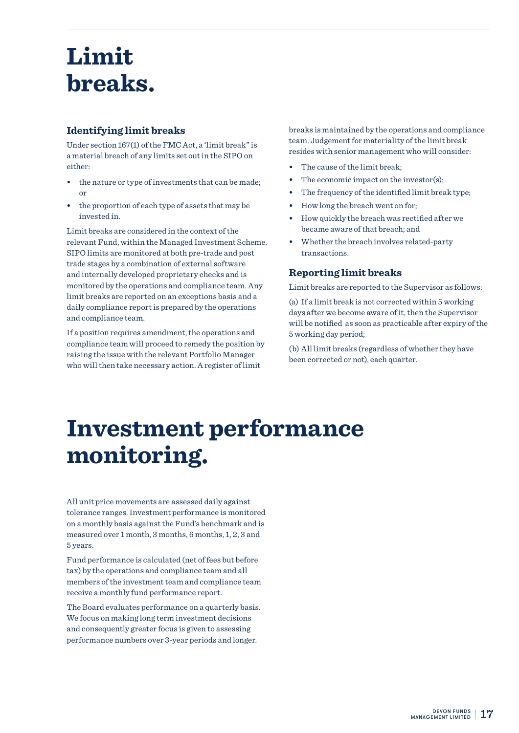### **Limit breaks.**

#### **Identifying limit breaks**

Under section 167(1) of the FMC Act, a 'limit break" is a material breach of any limits set out in the SIPO on either:

- **•** the nature or type of investments that can be made; or
- **•** the proportion of each type of assets that may be invested in.

Limit breaks are considered in the context of the relevant Fund, within the Managed Investment Scheme. SIPO limits are monitored at both pre-trade and post trade stages by a combination of external software and internally developed proprietary checks and is monitored by the operations and compliance team. Any limit breaks are reported on an exceptions basis and a daily compliance report is prepared by the operations and compliance team.

If a position requires amendment, the operations and compliance team will proceed to remedy the position by raising the issue with the relevant Portfolio Manager who will then take necessary action. A register of limit

breaks is maintained by the operations and compliance team. Judgement for materiality of the limit break resides with senior management who will consider:

- **•** The cause of the limit break;
- The economic impact on the investor(s);
- **•** The frequency of the identified limit break type;
- **•** How long the breach went on for;
- **•** How quickly the breach was rectified after we became aware of that breach; and
- **•** Whether the breach involves related-party transactions.

#### **Reporting limit breaks**

Limit breaks are reported to the Supervisor as follows:

(a) If a limit break is not corrected within 5 working days after we become aware of it, then the Supervisor will be notified as soon as practicable after expiry of the 5 working day period;

(b) All limit breaks (regardless of whether they have been corrected or not), each quarter.

### **Investment performance monitoring.**

All unit price movements are assessed daily against tolerance ranges. Investment performance is monitored on a monthly basis against the Fund's benchmark and is measured over 1 month, 3 months, 6 months, 1, 2, 3 and 5 years.

Fund performance is calculated (net of fees but before tax) by the operations and compliance team and all members of the investment team and compliance team receive a monthly fund performance report.

The Board evaluates performance on a quarterly basis. We focus on making long term investment decisions and consequently greater focus is given to assessing performance numbers over 3-year periods and longer.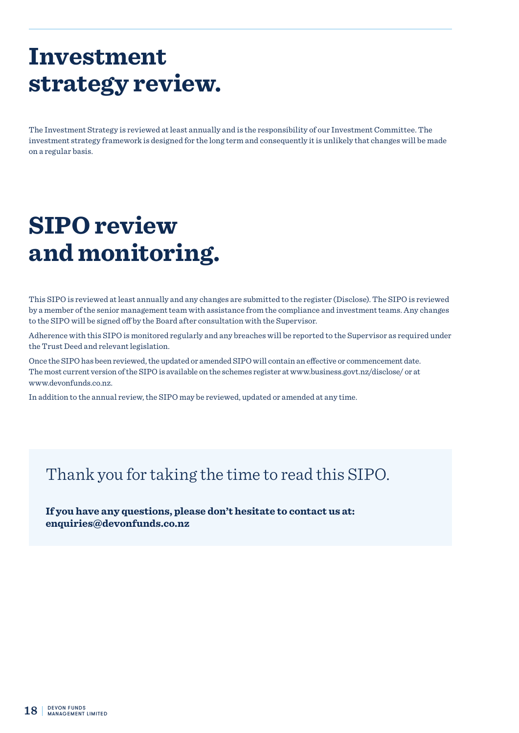### **Investment strategy review.**

The Investment Strategy is reviewed at least annually and is the responsibility of our Investment Committee. The investment strategy framework is designed for the long term and consequently it is unlikely that changes will be made on a regular basis.

# **SIPO review and monitoring.**

This SIPO is reviewed at least annually and any changes are submitted to the register (Disclose). The SIPO is reviewed by a member of the senior management team with assistance from the compliance and investment teams. Any changes to the SIPO will be signed off by the Board after consultation with the Supervisor.

Adherence with this SIPO is monitored regularly and any breaches will be reported to the Supervisor as required under the Trust Deed and relevant legislation.

Once the SIPO has been reviewed, the updated or amended SIPO will contain an effective or commencement date. The most current version of the SIPO is available on the schemes register at www.business.govt.nz/disclose/ or at www.devonfunds.co.nz.

In addition to the annual review, the SIPO may be reviewed, updated or amended at any time.

### Thank you for taking the time to read this SIPO.

**If you have any questions, please don't hesitate to contact us at: enquiries@devonfunds.co.nz**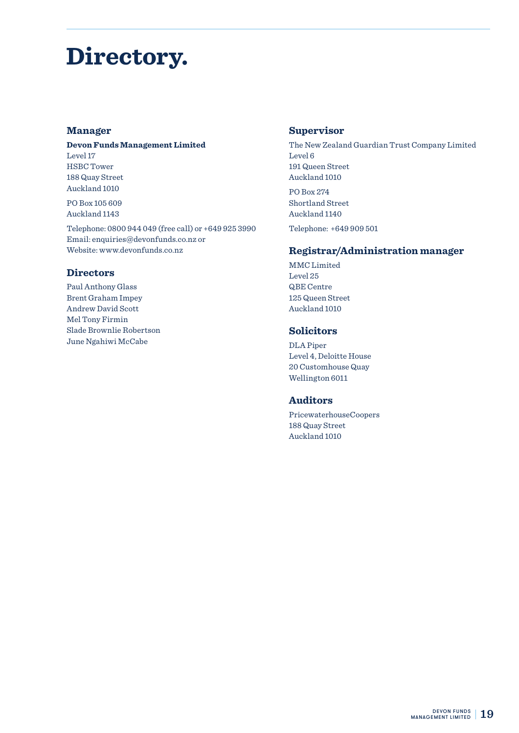### **Directory.**

#### **Manager**

#### **Devon Funds Management Limited**

Level 17 HSBC Tower 188 Quay Street Auckland 1010

PO Box 105 609 Auckland 1143

Telephone: 0800 944 049 (free call) or +649 925 3990 Email: enquiries@devonfunds.co.nz or Website: www.devonfunds.co.nz

#### **Directors**

Paul Anthony Glass Brent Graham Impey Andrew David Scott Mel Tony Firmin Slade Brownlie Robertson June Ngahiwi McCabe

#### **Supervisor**

The New Zealand Guardian Trust Company Limited Level 6 191 Queen Street Auckland 1010

PO Box 274 Shortland Street Auckland 1140 Telephone: +649 909 501

#### **Registrar/Administration manager**

MMC Limited Level 25 QBE Centre 125 Queen Street Auckland 1010

#### **Solicitors**

DLA Piper Level 4, Deloitte House 20 Customhouse Quay Wellington 6011

#### **Auditors**

PricewaterhouseCoopers 188 Quay Street Auckland 1010